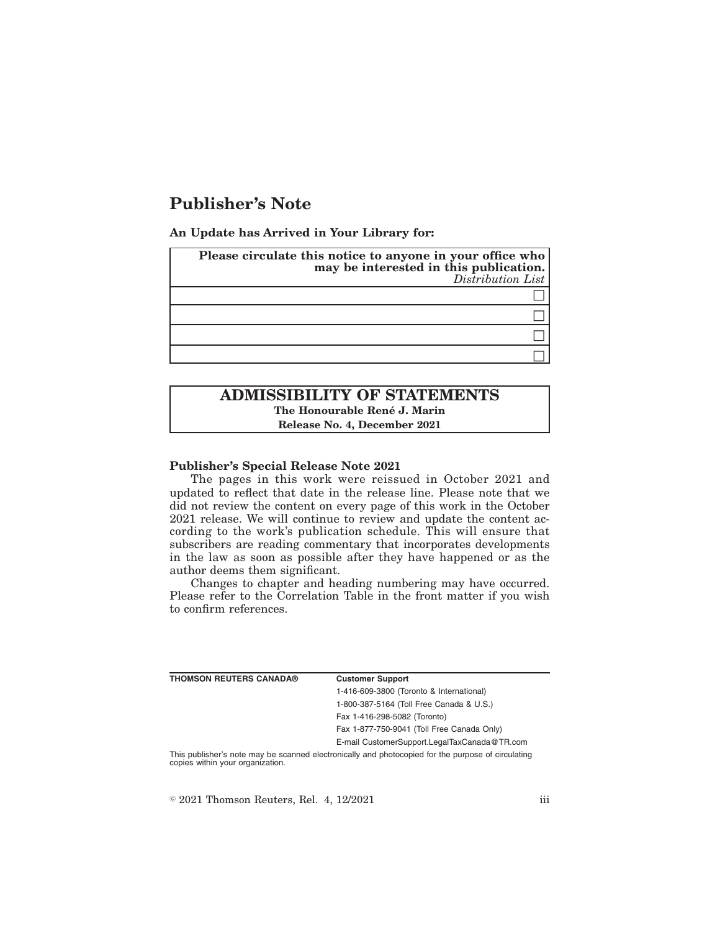# **Publisher's Note**

**An Update has Arrived in Your Library for:**

| Please circulate this notice to anyone in your office who may be interested in this publication.<br>Distribution List |
|-----------------------------------------------------------------------------------------------------------------------|
|                                                                                                                       |
|                                                                                                                       |
|                                                                                                                       |
|                                                                                                                       |

# **ADMISSIBILITY OF STATEMENTS The Honourable René J. Marin Release No. 4, December 2021**

#### **Publisher's Special Release Note 2021**

The pages in this work were reissued in October 2021 and updated to reflect that date in the release line. Please note that we did not review the content on every page of this work in the October 2021 release. We will continue to review and update the content according to the work's publication schedule. This will ensure that subscribers are reading commentary that incorporates developments in the law as soon as possible after they have happened or as the author deems them significant.

Changes to chapter and heading numbering may have occurred. Please refer to the Correlation Table in the front matter if you wish to confirm references.

| <b>THOMSON REUTERS CANADA®</b>   | <b>Customer Support</b>                                                                            |
|----------------------------------|----------------------------------------------------------------------------------------------------|
|                                  | 1-416-609-3800 (Toronto & International)                                                           |
|                                  | 1-800-387-5164 (Toll Free Canada & U.S.)                                                           |
|                                  | Fax 1-416-298-5082 (Toronto)                                                                       |
|                                  | Fax 1-877-750-9041 (Toll Free Canada Only)                                                         |
|                                  | E-mail CustomerSupport.LegalTaxCanada@TR.com                                                       |
| copies within your organization. | This publisher's note may be scanned electronically and photocopied for the purpose of circulating |

 $\textdegree$  2021 Thomson Reuters, Rel. 4, 12/2021 iii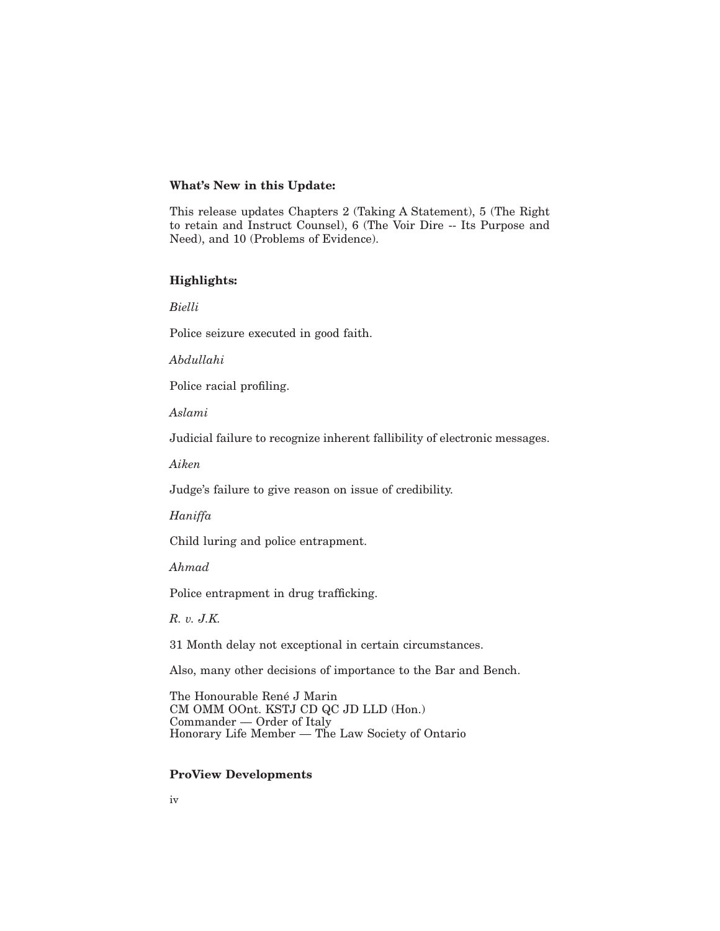#### **What's New in this Update:**

This release updates Chapters 2 (Taking A Statement), 5 (The Right to retain and Instruct Counsel), 6 (The Voir Dire -- Its Purpose and Need), and 10 (Problems of Evidence).

## **Highlights:**

*Bielli*

Police seizure executed in good faith.

*Abdullahi*

Police racial profiling.

*Aslami*

Judicial failure to recognize inherent fallibility of electronic messages.

*Aiken*

Judge's failure to give reason on issue of credibility.

*Haniffa*

Child luring and police entrapment.

*Ahmad*

Police entrapment in drug trafficking.

*R. v. J.K.*

31 Month delay not exceptional in certain circumstances.

Also, many other decisions of importance to the Bar and Bench.

The Honourable René J Marin CM OMM OOnt. KSTJ CD QC JD LLD (Hon.) Commander — Order of Italy Honorary Life Member — The Law Society of Ontario

## **ProView Developments**

iv